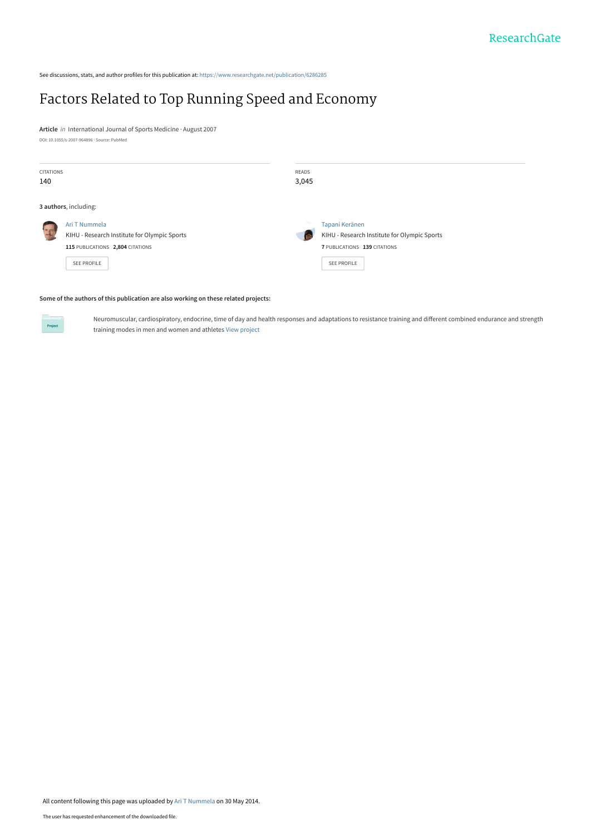See discussions, stats, and author profiles for this publication at: [https://www.researchgate.net/publication/6286285](https://www.researchgate.net/publication/6286285_Factors_Related_to_Top_Running_Speed_and_Economy?enrichId=rgreq-03845e90342e8c79d4dac04739260d32-XXX&enrichSource=Y292ZXJQYWdlOzYyODYyODU7QVM6MTAyNjE0Njk1OTQwMTAwQDE0MDE0NzY2NTg2MTQ%3D&el=1_x_2&_esc=publicationCoverPdf)

## [Factors Related to Top Running Speed and Economy](https://www.researchgate.net/publication/6286285_Factors_Related_to_Top_Running_Speed_and_Economy?enrichId=rgreq-03845e90342e8c79d4dac04739260d32-XXX&enrichSource=Y292ZXJQYWdlOzYyODYyODU7QVM6MTAyNjE0Njk1OTQwMTAwQDE0MDE0NzY2NTg2MTQ%3D&el=1_x_3&_esc=publicationCoverPdf)

**Article** in International Journal of Sports Medicine · August 2007 DOI: 10.1055/s-2007-964896 · Source: PubMed

| <b>CITATIONS</b>      |                                              | READS |                                              |  |  |
|-----------------------|----------------------------------------------|-------|----------------------------------------------|--|--|
| 140                   |                                              | 3,045 |                                              |  |  |
|                       |                                              |       |                                              |  |  |
| 3 authors, including: |                                              |       |                                              |  |  |
| $\frac{1}{2}$         | Ari T Nummela                                |       | Tapani Keränen                               |  |  |
|                       | KIHU - Research Institute for Olympic Sports |       | KIHU - Research Institute for Olympic Sports |  |  |
|                       | 115 PUBLICATIONS 2,804 CITATIONS             |       | 7 PUBLICATIONS 139 CITATIONS                 |  |  |
|                       | SEE PROFILE                                  |       | <b>SEE PROFILE</b>                           |  |  |

#### **Some of the authors of this publication are also working on these related projects:**



Neuromuscular, cardiospiratory, endocrine, time of day and health responses and adaptations to resistance training and different combined endurance and strength training modes in men and women and athletes [View project](https://www.researchgate.net/project/Neuromuscular-cardiospiratory-endocrine-time-of-day-and-health-responses-and-adaptations-to-resistance-training-and-different-combined-endurance-and-strength-training-modes-in-men-and-women-and-ath?enrichId=rgreq-03845e90342e8c79d4dac04739260d32-XXX&enrichSource=Y292ZXJQYWdlOzYyODYyODU7QVM6MTAyNjE0Njk1OTQwMTAwQDE0MDE0NzY2NTg2MTQ%3D&el=1_x_9&_esc=publicationCoverPdf)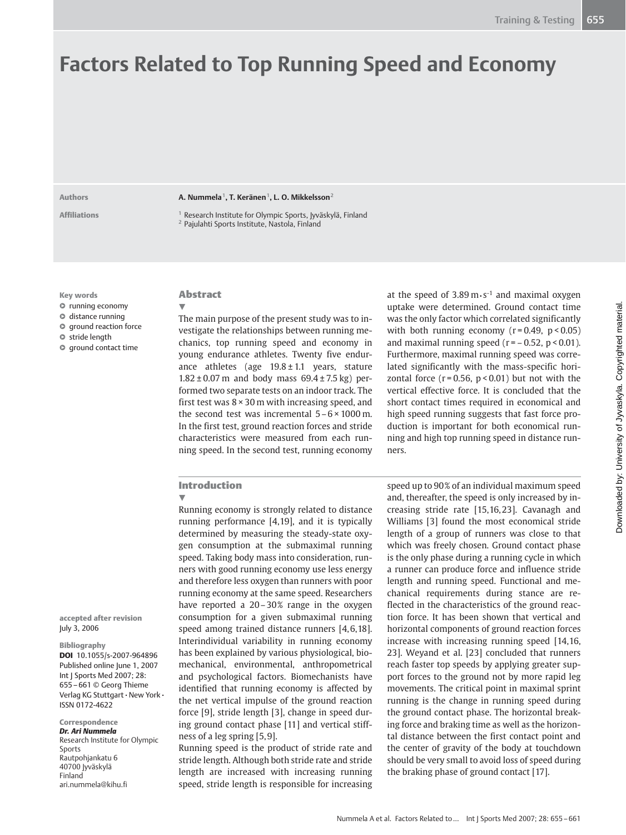# Factors Related to Top Running Speed and Economy

Authors **A. Nummela<sup>1</sup>, T. Keränen<sup>1</sup>, L. O. Mikkelsson<sup>2</sup>** 

Affiliations 1 Research Institute for Olympic Sports, Ivväskylä, Finland <sup>2</sup> Pajulahti Sports Institute, Nastola, Finland

Key words

- l " running economy
- $\circ$  distance running
- $\bullet$  ground reaction force
- $\circ$  stride length
- $\circ$  ground contact time

accepted after revision

DOI 10.1055/s-2007-964896 Published online June 1, 2007 Int J Sports Med 2007; 28: 655 – 661 © Georg Thieme Verlag KG Stuttgart • New York •

Research Institute for Olympic

July 3, 2006 Bibliography

ISSN 0172-4622 Correspondence Dr. Ari Nummela

ari.nummela@kihu.fi

Sports Rautpohjankatu 6 40700 Jyväskylä Finland

## Abstract

 $\overline{\mathbf{v}}$ 

The main purpose of the present study was to investigate the relationships between running mechanics, top running speed and economy in young endurance athletes. Twenty five endurance athletes (age  $19.8 \pm 1.1$  years, stature  $1.82 \pm 0.07$  m and body mass  $69.4 \pm 7.5$  kg) performed two separate tests on an indoor track. The first test was  $8 \times 30$  m with increasing speed, and the second test was incremental  $5 - 6 \times 1000$  m. In the first test, ground reaction forces and stride characteristics were measured from each running speed. In the second test, running economy at the speed of  $3.89 \text{ m} \cdot \text{s}^{-1}$  and maximal oxygen uptake were determined. Ground contact time was the only factor which correlated significantly with both running economy  $(r = 0.49, p < 0.05)$ and maximal running speed  $(r = -0.52, p < 0.01)$ . Furthermore, maximal running speed was correlated significantly with the mass-specific horizontal force  $(r = 0.56, p < 0.01)$  but not with the vertical effective force. It is concluded that the short contact times required in economical and high speed running suggests that fast force production is important for both economical running and high top running speed in distance runners.

#### Introduction

#### !

Running economy is strongly related to distance running performance [4,19], and it is typically determined by measuring the steady-state oxygen consumption at the submaximal running speed. Taking body mass into consideration, runners with good running economy use less energy and therefore less oxygen than runners with poor running economy at the same speed. Researchers have reported a 20–30% range in the oxygen consumption for a given submaximal running speed among trained distance runners [4,6,18]. Interindividual variability in running economy has been explained by various physiological, biomechanical, environmental, anthropometrical and psychological factors. Biomechanists have identified that running economy is affected by the net vertical impulse of the ground reaction force [9], stride length [3], change in speed during ground contact phase [11] and vertical stiffness of a leg spring [5, 9].

Running speed is the product of stride rate and stride length. Although both stride rate and stride length are increased with increasing running speed, stride length is responsible for increasing speed up to 90% of an individual maximum speed and, thereafter, the speed is only increased by increasing stride rate [15,16, 23]. Cavanagh and Williams [3] found the most economical stride length of a group of runners was close to that which was freely chosen. Ground contact phase is the only phase during a running cycle in which a runner can produce force and influence stride length and running speed. Functional and mechanical requirements during stance are reflected in the characteristics of the ground reaction force. It has been shown that vertical and horizontal components of ground reaction forces increase with increasing running speed [14,16, 23]. Weyand et al. [23] concluded that runners reach faster top speeds by applying greater support forces to the ground not by more rapid leg movements. The critical point in maximal sprint running is the change in running speed during the ground contact phase. The horizontal breaking force and braking time as well as the horizontal distance between the first contact point and the center of gravity of the body at touchdown should be very small to avoid loss of speed during the braking phase of ground contact [17].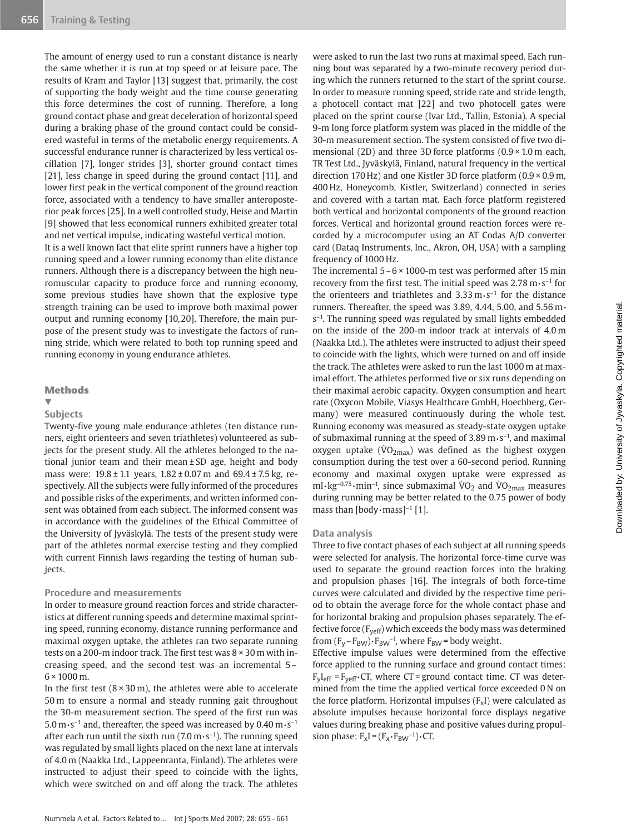The amount of energy used to run a constant distance is nearly the same whether it is run at top speed or at leisure pace. The results of Kram and Taylor [13] suggest that, primarily, the cost of supporting the body weight and the time course generating this force determines the cost of running. Therefore, a long ground contact phase and great deceleration of horizontal speed during a braking phase of the ground contact could be considered wasteful in terms of the metabolic energy requirements. A successful endurance runner is characterized by less vertical oscillation [7], longer strides [3], shorter ground contact times [21], less change in speed during the ground contact [11], and lower first peak in the vertical component of the ground reaction force, associated with a tendency to have smaller anteroposterior peak forces [25]. In a well controlled study, Heise and Martin [9] showed that less economical runners exhibited greater total and net vertical impulse, indicating wasteful vertical motion.

It is a well known fact that elite sprint runners have a higher top running speed and a lower running economy than elite distance runners. Although there is a discrepancy between the high neuromuscular capacity to produce force and running economy, some previous studies have shown that the explosive type strength training can be used to improve both maximal power output and running economy [10,20]. Therefore, the main purpose of the present study was to investigate the factors of running stride, which were related to both top running speed and running economy in young endurance athletes.

#### **Methods**

### $\overline{\mathbf{v}}$

## **Subjects**

Twenty-five young male endurance athletes (ten distance runners, eight orienteers and seven triathletes) volunteered as subjects for the present study. All the athletes belonged to the national junior team and their mean ± SD age, height and body mass were: 19.8 ± 1.1 years, 1.82 ± 0.07 m and 69.4 ± 7.5 kg, respectively. All the subjects were fully informed of the procedures and possible risks of the experiments, and written informed consent was obtained from each subject. The informed consent was in accordance with the guidelines of the Ethical Committee of the University of Jyväskylä. The tests of the present study were part of the athletes normal exercise testing and they complied with current Finnish laws regarding the testing of human subjects.

## Procedure and measurements

In order to measure ground reaction forces and stride characteristics at different running speeds and determine maximal sprinting speed, running economy, distance running performance and maximal oxygen uptake, the athletes ran two separate running tests on a 200-m indoor track. The first test was 8 × 30 m with increasing speed, and the second test was an incremental 5 –  $6 \times 1000$  m.

In the first test  $(8 \times 30 \text{ m})$ , the athletes were able to accelerate 50 m to ensure a normal and steady running gait throughout the 30-m measurement section. The speed of the first run was 5.0 m $\cdot$ s<sup>-1</sup> and, thereafter, the speed was increased by 0.40 m $\cdot$ s<sup>-1</sup> after each run until the sixth run  $(7.0 \text{ m} \cdot \text{s}^{-1})$ . The running speed was regulated by small lights placed on the next lane at intervals of 4.0 m (Naakka Ltd., Lappeenranta, Finland). The athletes were instructed to adjust their speed to coincide with the lights, which were switched on and off along the track. The athletes

were asked to run the last two runs at maximal speed. Each running bout was separated by a two-minute recovery period during which the runners returned to the start of the sprint course. In order to measure running speed, stride rate and stride length, a photocell contact mat [22] and two photocell gates were placed on the sprint course (Ivar Ltd., Tallin, Estonia). A special 9-m long force platform system was placed in the middle of the 30-m measurement section. The system consisted of five two dimensional (2D) and three 3D force platforms (0.9 × 1.0 m each, TR Test Ltd., Jyväskylä, Finland, natural frequency in the vertical direction 170 Hz) and one Kistler 3D force platform (0.9 × 0.9 m, 400 Hz, Honeycomb, Kistler, Switzerland) connected in series and covered with a tartan mat. Each force platform registered both vertical and horizontal components of the ground reaction forces. Vertical and horizontal ground reaction forces were recorded by a microcomputer using an AT Codas A/D converter card (Dataq Instruments, Inc., Akron, OH, USA) with a sampling frequency of 1000 Hz.

The incremental  $5 - 6 \times 1000$ -m test was performed after 15 min recovery from the first test. The initial speed was 2.78  $m \cdot s^{-1}$  for the orienteers and triathletes and  $3.33 \text{ m} \cdot \text{s}^{-1}$  for the distance runners. Thereafter, the speed was 3.89, 4.44, 5.00, and 5.56 m•  $s^{-1}$ . The running speed was regulated by small lights embedded on the inside of the 200-m indoor track at intervals of 4.0 m (Naakka Ltd.). The athletes were instructed to adjust their speed to coincide with the lights, which were turned on and off inside the track. The athletes were asked to run the last 1000 m at maximal effort. The athletes performed five or six runs depending on their maximal aerobic capacity. Oxygen consumption and heart rate (Oxycon Mobile, Viasys Healthcare GmbH, Hoechberg, Germany) were measured continuously during the whole test. Running economy was measured as steady-state oxygen uptake of submaximal running at the speed of  $3.89 \text{ m} \cdot \text{s}^{-1}$ , and maximal oxygen uptake ( $\dot{V}O_{2\text{max}}$ ) was defined as the highest oxygen consumption during the test over a 60-second period. Running economy and maximal oxygen uptake were expressed as ml $\cdot$ kg<sup>-0.75</sup> $\cdot$ min<sup>-1</sup>, since submaximal VO<sub>2</sub> and VO<sub>2max</sub> measures during running may be better related to the 0.75 power of body mass than [body $\cdot$ mass]<sup>-1</sup> [1].

#### Data analysis

Three to five contact phases of each subject at all running speeds were selected for analysis. The horizontal force-time curve was used to separate the ground reaction forces into the braking and propulsion phases [16]. The integrals of both force-time curves were calculated and divided by the respective time period to obtain the average force for the whole contact phase and for horizontal braking and propulsion phases separately. The effective force ( $F<sub>veff</sub>$ ) which exceeds the body mass was determined from  $(F_V - F_{BW}) \cdot F_{BW}^{-1}$ , where  $F_{BW}$  = body weight.

Effective impulse values were determined from the effective force applied to the running surface and ground contact times:  $F_{v}I_{\text{eff}}$  =  $F_{v}F_{\text{eff}}$  CT, where CT = ground contact time. CT was determined from the time the applied vertical force exceeded 0 N on the force platform. Horizontal impulses  $(F_xI)$  were calculated as absolute impulses because horizontal force displays negative values during breaking phase and positive values during propulsion phase:  $F_xI = (F_x \cdot F_{BW}^{-1}) \cdot CT$ .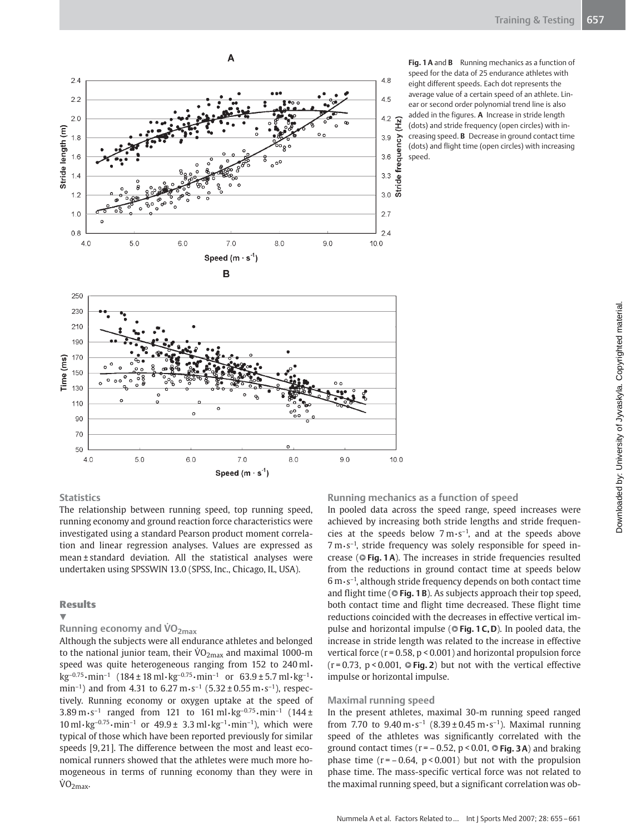

Fig. 1 A and B Running mechanics as a function of speed for the data of 25 endurance athletes with eight different speeds. Each dot represents the average value of a certain speed of an athlete. Linear or second order polynomial trend line is also added in the figures. A Increase in stride length (dots) and stride frequency (open circles) with increasing speed. B Decrease in ground contact time (dots) and flight time (open circles) with increasing speed.

## **Statistics**

70 50  $4.0$ 

The relationship between running speed, top running speed, running economy and ground reaction force characteristics were investigated using a standard Pearson product moment correlation and linear regression analyses. Values are expressed as mean ± standard deviation. All the statistical analyses were undertaken using SPSSWIN 13.0 (SPSS, Inc., Chicago, IL, USA).

 $6.0$ 

 $7.0$ 

Speed  $(m \cdot s^{-1})$ 

8.0

 $9.0$ 

## Results

#### $\overline{\mathbf{v}}$

Running economy and  $VO<sub>2max</sub>$ 

 $5.0$ 

Although the subjects were all endurance athletes and belonged to the national junior team, their  $\rm\dot{VO}_{2max}$  and maximal 1000-m speed was quite heterogeneous ranging from 152 to 240 ml.  $kg^{-0.75} \cdot min^{-1}$  (184 ± 18 ml $\cdot kg^{-0.75} \cdot min^{-1}$  or 63.9 ± 5.7 ml $\cdot kg^{-1} \cdot$ min<sup>-1</sup>) and from 4.31 to  $6.27 \text{ m} \cdot \text{s}^{-1}$  (5.32 ± 0.55 m $\cdot \text{s}^{-1}$ ), respectively. Running economy or oxygen uptake at the speed of 3.89 m $\cdot$  s<sup>-1</sup> ranged from 121 to 161 ml $\cdot$ kg<sup>-0.75</sup> $\cdot$ min<sup>-1</sup> (144 ±  $10 \,\mathrm{ml} \cdot \mathrm{kg}^{-0.75} \cdot \mathrm{min}^{-1}$  or  $49.9 \pm 3.3 \,\mathrm{ml} \cdot \mathrm{kg}^{-1} \cdot \mathrm{min}^{-1}$ ), which were typical of those which have been reported previously for similar speeds [9,21]. The difference between the most and least economical runners showed that the athletes were much more homogeneous in terms of running economy than they were in  $\dot{V}O_{2\text{max}}$ 

## Running mechanics as a function of speed

 $10.0$ 

In pooled data across the speed range, speed increases were achieved by increasing both stride lengths and stride frequencies at the speeds below  $7 \text{ m} \cdot \text{s}^{-1}$ , and at the speeds above  $7 \text{ m} \cdot \text{s}^{-1}$ , stride frequency was solely responsible for speed increase ( $\circ$ Fig. 1A). The increases in stride frequencies resulted from the reductions in ground contact time at speeds below  $6 \text{ m} \cdot \text{s}^{-1}$ , although stride frequency depends on both contact time and flight time ( $\circ$  Fig. 1B). As subjects approach their top speed, both contact time and flight time decreased. These flight time reductions coincided with the decreases in effective vertical impulse and horizontal impulse ( $\circ$  Fig. 1 C, D). In pooled data, the increase in stride length was related to the increase in effective vertical force ( $r = 0.58$ ,  $p < 0.001$ ) and horizontal propulsion force  $(r = 0.73, p < 0.001, \circ$  Fig. 2) but not with the vertical effective impulse or horizontal impulse.

#### Maximal running speed

In the present athletes, maximal 30-m running speed ranged from 7.70 to  $9.40 \,\mathrm{m\cdot s^{-1}}$  (8.39 ± 0.45 m $\cdot$ s<sup>-1</sup>). Maximal running speed of the athletes was significantly correlated with the ground contact times ( $r = -0.52$ ,  $p < 0.01$ ,  $\odot$  Fig. 3A) and braking phase time  $(r = -0.64, p < 0.001)$  but not with the propulsion phase time. The mass-specific vertical force was not related to the maximal running speed, but a significant correlation was ob-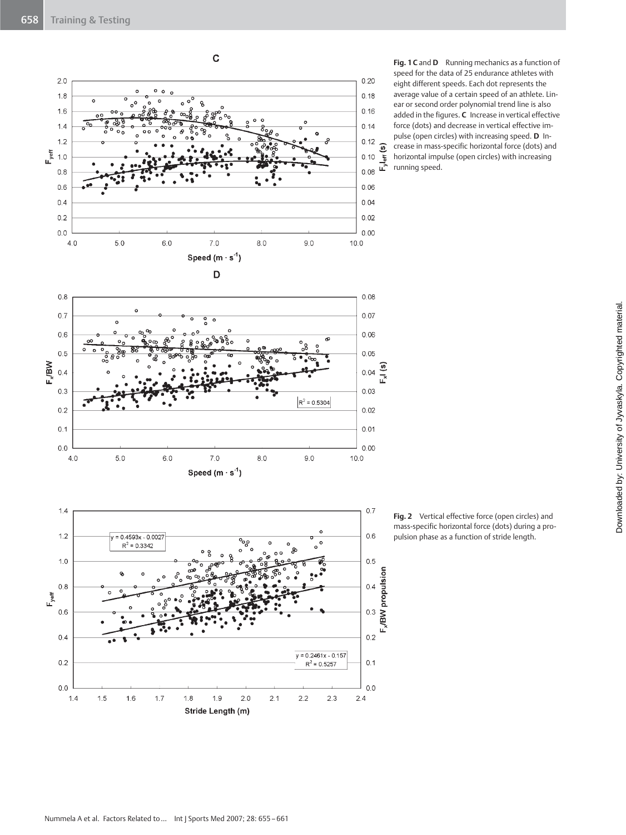

Fig. 1 C and D Running mechanics as a function of speed for the data of 25 endurance athletes with eight different speeds. Each dot represents the average value of a certain speed of an athlete. Linear or second order polynomial trend line is also added in the figures. C Increase in vertical effective force (dots) and decrease in vertical effective impulse (open circles) with increasing speed. D Increase in mass-specific horizontal force (dots) and horizontal impulse (open circles) with increasing running speed.

Fig. 2 Vertical effective force (open circles) and mass-specific horizontal force (dots) during a propulsion phase as a function of stride length.

Stride Length (m)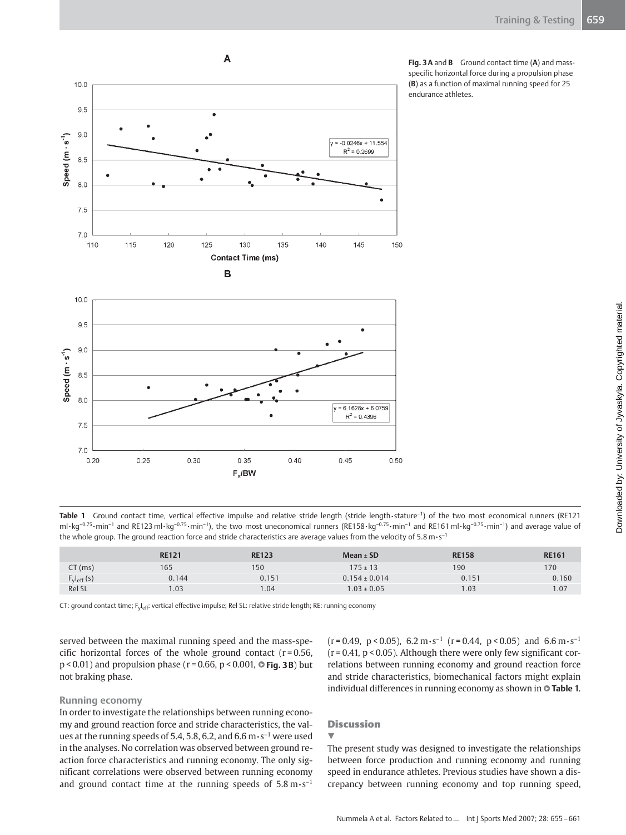

 $\overline{A}$ 

Fig. 3 A and B Ground contact time (A) and massspecific horizontal force during a propulsion phase (B) as a function of maximal running speed for 25 endurance athletes.

Table 1 Ground contact time, vertical effective impulse and relative stride length (stride length• stature<sup>-1</sup>) of the two most economical runners (RE121 ml · kg<sup>-0.75</sup> •min<sup>-1</sup> and RE123 ml · kg<sup>-0.75</sup> •min<sup>-1</sup>), the two most uneconomical runners (RE158 · kg<sup>-0.75</sup> •min<sup>-1</sup> and RE161 ml · kg<sup>-0.75</sup> •min<sup>-1</sup>) and average value of the whole group. The ground reaction force and stride characteristics are average values from the velocity of 5.8 m $\cdot$  s<sup>-1</sup>

|                  | <b>RE121</b> | <b>RE123</b>      | $Mean + SD$       | <b>RE158</b> | <b>RE161</b> |
|------------------|--------------|-------------------|-------------------|--------------|--------------|
| $CT$ (ms)        | 165          | 150               | $175 \pm 13$      | 190          | 170          |
| $F_V I_{eff}(s)$ | 0.144        | 0.151             | $0.154 \pm 0.014$ | 0.151        | 0.160        |
| Rel SL           | 0.03         | $\overline{0.04}$ | $1.03 \pm 0.05$   | .03          | .07          |

CT: ground contact time; F<sub>yleff</sub>: vertical effective impulse; Rel SL: relative stride length; RE: running economy

served between the maximal running speed and the mass-specific horizontal forces of the whole ground contact  $(r = 0.56,$  $p < 0.01$ ) and propulsion phase ( $r = 0.66$ ,  $p < 0.001$ ,  $\odot$  Fig. 3 B) but not braking phase.

#### Running economy

In order to investigate the relationships between running economy and ground reaction force and stride characteristics, the values at the running speeds of 5.4, 5.8, 6.2, and 6.6  $\text{m}\cdot\text{s}^{-1}$  were used in the analyses. No correlation was observed between ground reaction force characteristics and running economy. The only significant correlations were observed between running economy and ground contact time at the running speeds of  $5.8 \text{ m} \cdot \text{s}^{-1}$ 

 $(r = 0.49, p < 0.05)$ , 6.2 m·s<sup>-1</sup> ( $r = 0.44, p < 0.05$ ) and 6.6 m·s<sup>-1</sup>  $(r = 0.41, p < 0.05)$ . Although there were only few significant correlations between running economy and ground reaction force and stride characteristics, biomechanical factors might explain individual differences in running economy as shown in @ Table 1.

## **Discussion**

## $\overline{\mathbf{v}}$

The present study was designed to investigate the relationships between force production and running economy and running speed in endurance athletes. Previous studies have shown a discrepancy between running economy and top running speed,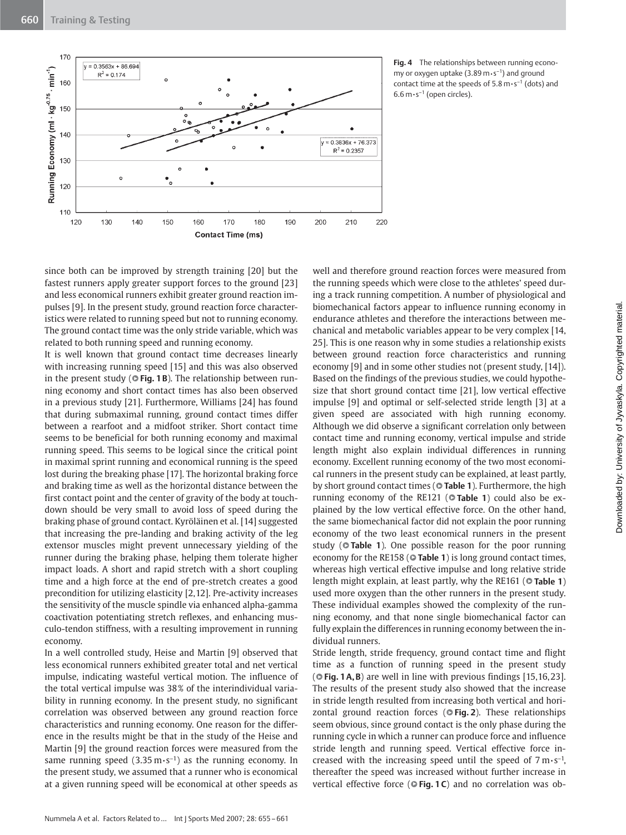

Fig. 4 The relationships between running economy or oxygen uptake  $(3.89 \text{ m} \cdot \text{s}^{-1})$  and ground contact time at the speeds of  $5.8 \text{ m} \cdot \text{s}^{-1}$  (dots) and  $6.6 \text{ m} \cdot \text{s}^{-1}$  (open circles).

since both can be improved by strength training [20] but the fastest runners apply greater support forces to the ground [23] and less economical runners exhibit greater ground reaction impulses [9]. In the present study, ground reaction force characteristics were related to running speed but not to running economy. The ground contact time was the only stride variable, which was related to both running speed and running economy.

It is well known that ground contact time decreases linearly with increasing running speed [15] and this was also observed in the present study ( $\circ$  Fig. 1B). The relationship between running economy and short contact times has also been observed in a previous study [21]. Furthermore, Williams [24] has found that during submaximal running, ground contact times differ between a rearfoot and a midfoot striker. Short contact time seems to be beneficial for both running economy and maximal running speed. This seems to be logical since the critical point in maximal sprint running and economical running is the speed lost during the breaking phase [17]. The horizontal braking force and braking time as well as the horizontal distance between the first contact point and the center of gravity of the body at touchdown should be very small to avoid loss of speed during the braking phase of ground contact. Kyröläinen et al. [14] suggested that increasing the pre-landing and braking activity of the leg extensor muscles might prevent unnecessary yielding of the runner during the braking phase, helping them tolerate higher impact loads. A short and rapid stretch with a short coupling time and a high force at the end of pre-stretch creates a good precondition for utilizing elasticity [2,12]. Pre-activity increases the sensitivity of the muscle spindle via enhanced alpha-gamma coactivation potentiating stretch reflexes, and enhancing musculo-tendon stiffness, with a resulting improvement in running economy.

In a well controlled study, Heise and Martin [9] observed that less economical runners exhibited greater total and net vertical impulse, indicating wasteful vertical motion. The influence of the total vertical impulse was 38% of the interindividual variability in running economy. In the present study, no significant correlation was observed between any ground reaction force characteristics and running economy. One reason for the difference in the results might be that in the study of the Heise and Martin [9] the ground reaction forces were measured from the same running speed (3.35 m $\cdot$ s<sup>-1</sup>) as the running economy. In the present study, we assumed that a runner who is economical at a given running speed will be economical at other speeds as

well and therefore ground reaction forces were measured from the running speeds which were close to the athletes' speed during a track running competition. A number of physiological and biomechanical factors appear to influence running economy in endurance athletes and therefore the interactions between mechanical and metabolic variables appear to be very complex [14, 25]. This is one reason why in some studies a relationship exists between ground reaction force characteristics and running economy [9] and in some other studies not (present study, [14]). Based on the findings of the previous studies, we could hypothesize that short ground contact time [21], low vertical effective impulse [9] and optimal or self-selected stride length [3] at a given speed are associated with high running economy. Although we did observe a significant correlation only between contact time and running economy, vertical impulse and stride length might also explain individual differences in running economy. Excellent running economy of the two most economical runners in the present study can be explained, at least partly, by short ground contact times ( $\circ$  Table 1). Furthermore, the high running economy of the RE121 (**Table 1**) could also be explained by the low vertical effective force. On the other hand, the same biomechanical factor did not explain the poor running economy of the two least economical runners in the present study (<sup>o</sup>Table 1). One possible reason for the poor running economy for the RE158 ( $\circ$  Table 1) is long ground contact times, whereas high vertical effective impulse and long relative stride length might explain, at least partly, why the RE161 ( Table 1) used more oxygen than the other runners in the present study. These individual examples showed the complexity of the running economy, and that none single biomechanical factor can fully explain the differences in running economy between the individual runners.

Stride length, stride frequency, ground contact time and flight time as a function of running speed in the present study (© Fig. 1 A, B) are well in line with previous findings [15, 16, 23]. The results of the present study also showed that the increase in stride length resulted from increasing both vertical and horizontal ground reaction forces (OFig. 2). These relationships seem obvious, since ground contact is the only phase during the running cycle in which a runner can produce force and influence stride length and running speed. Vertical effective force increased with the increasing speed until the speed of  $7 \text{ m} \cdot \text{s}^{-1}$ , thereafter the speed was increased without further increase in vertical effective force ( $\circ$ Fig. 1C) and no correlation was ob